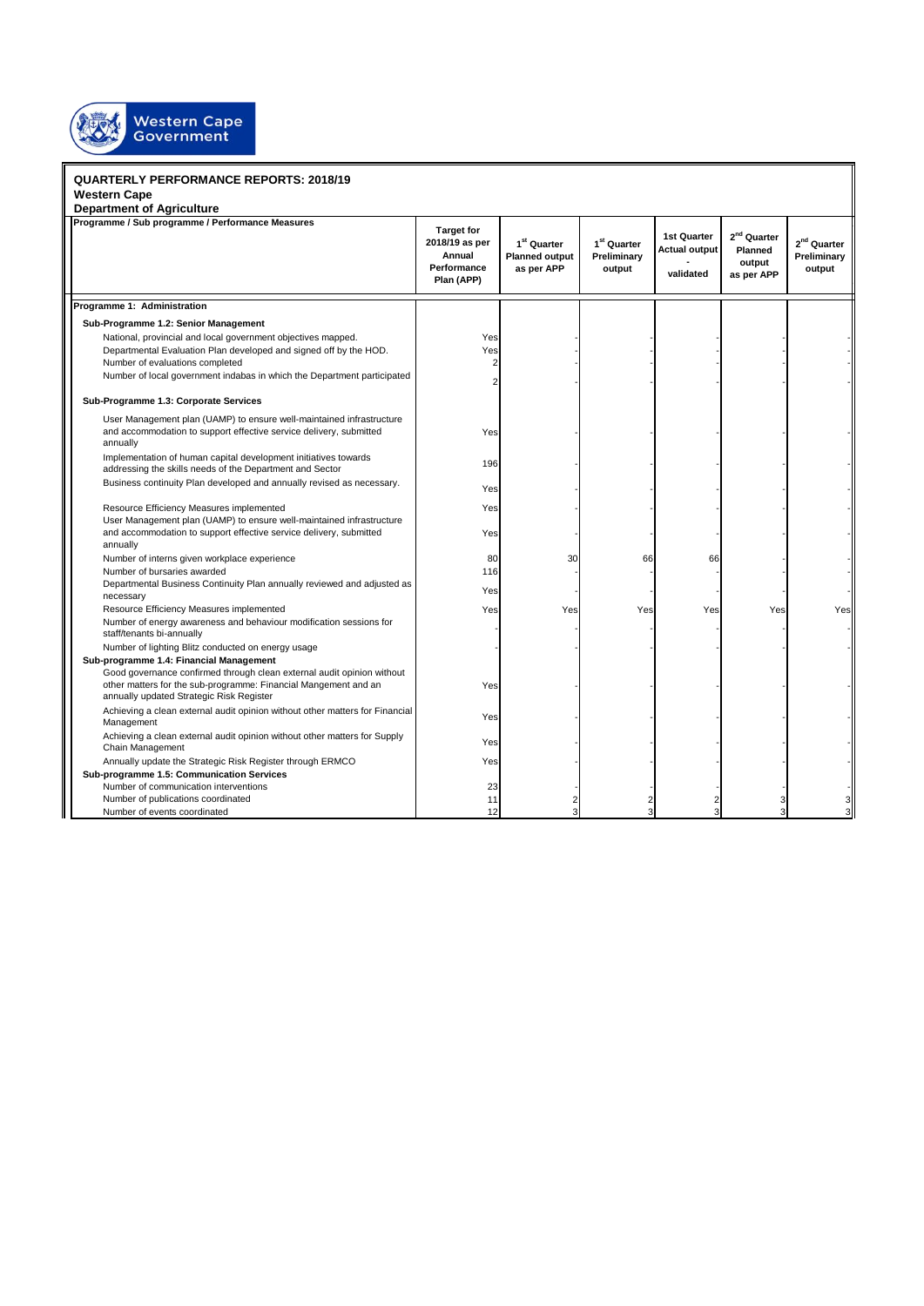

## **QUARTERLY PERFORMANCE REPORTS: 2018/19 Western Cape Department of Agriculture Target for 2018/19 as per Annual Performance Plan (APP) 1 st Quarter Planned output as per APP 1 st Quarter Preliminary output 1st Quarter Actual output validated** ا**و nd Quarter Planned output as per APP 2 nd Quarter Preliminary output 4 t h Q u a r Programme 1: Administration Sub-Programme 1.2: Senior Management** National, provincial and local government objectives mapped. The state of the state of the Yes Departmental Evaluation Plan developed and signed off by the HOD. Yes Number of evaluations completed 2 - - - - - Number of local government indabas in which the Department participated 2 - - - - - **Sub-Programme 1.3: Corporate Services** User Management plan (UAMP) to ensure well-maintained infrastructure and accommodation to support effective service delivery, submitted annually Yes - - - - - - - - - -Implementation of human capital development initiatives towards Implementation of numan capital development initiatives towards<br>addressing the skills needs of the Department and Sector Business continuity Plan developed and annually revised as necessary. Yes - - - - - - - - - -Resource Efficiency Measures implemented and a state of the Vest - - - - - - - - Yes User Management plan (UAMP) to ensure well-maintained infrastructure and accommodation to support effective service delivery, submitted annually Yes - - - - - - - - - -Number of interns given workplace experience and the state of the state and state and state and state and state of the state of the state of the state of the state of the state of the state of the state of the state of the Number of bursaries awarded 116 Departmental Business Continuity Plan annually reviewed and adjusted as necessary Yes - - - - - - - - - -Resource Efficiency Measures implemented **All Accords Construction Construction** Yes Yes Yes Yes Yes Yes Yes Yes Number of energy awareness and behaviour modification sessions for staff/tenants bi-annually Number of lighting Blitz conducted on energy usage **Sub-programme 1.4: Financial Management** Good governance confirmed through clean external audit opinion without other matters for the sub-programme: Financial Mangement and an annually updated Strategic Risk Register Yes - - - - - - - - - -Achieving a clean external audit opinion without other matters for Financial Management Yes - - - - - Achieving a clean external audit opinion without other matters for Supply Chain Management Yes - - - - - Annually update the Strategic Risk Register through ERMCO **Fig. 1** and Strategic Risk Register through ERMCO **Sub-programme 1.5: Communication Services** Number of communication interventions 23 Number of publications coordinated 11 2 3 3 3 3 4 3 3 3 3 3 4 3 3 3 4 3 3 4 3 4 3 3 4 3 3 4 3 4 3 4 3 4 3 4 3 4 3 4 3 4 3 4 3 4 3 4 3 4 3 4 3 4 3 4 3 4 3 4 3 4 3 4 3 4 3 4 3 4 3 4 3 4 3 4 3 4 3 4 3 4 3 4 3 4 3 4 3 4 3 4 3 **Programme / Sub programme / Performance Measures**

Number of events coordinated 12 3 3 3 3 3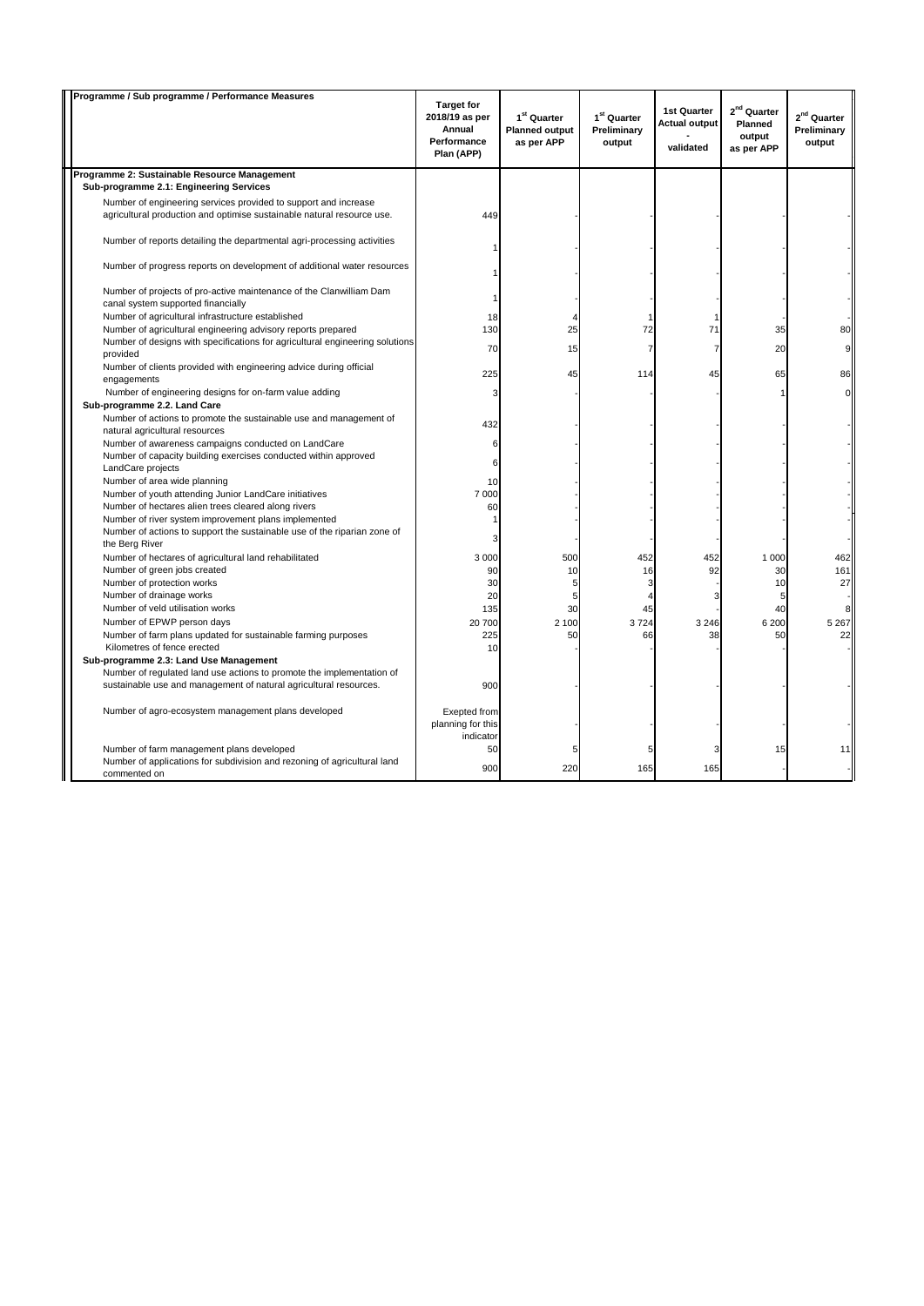| Programme / Sub programme / Performance Measures                                                                                           | <b>Target for</b><br>2018/19 as per<br>Annual<br>Performance<br>Plan (APP) | 1 <sup>st</sup> Quarter<br><b>Planned output</b><br>as per APP | 1 <sup>st</sup> Quarter<br>Preliminary<br>output | <b>1st Quarter</b><br><b>Actual output</b><br>validated | 2 <sup>nd</sup> Quarter<br><b>Planned</b><br>output<br>as per APP | 2 <sup>nd</sup> Quarter<br>Preliminary<br>output |
|--------------------------------------------------------------------------------------------------------------------------------------------|----------------------------------------------------------------------------|----------------------------------------------------------------|--------------------------------------------------|---------------------------------------------------------|-------------------------------------------------------------------|--------------------------------------------------|
| Programme 2: Sustainable Resource Management                                                                                               |                                                                            |                                                                |                                                  |                                                         |                                                                   |                                                  |
| Sub-programme 2.1: Engineering Services                                                                                                    |                                                                            |                                                                |                                                  |                                                         |                                                                   |                                                  |
| Number of engineering services provided to support and increase                                                                            |                                                                            |                                                                |                                                  |                                                         |                                                                   |                                                  |
| agricultural production and optimise sustainable natural resource use.                                                                     | 449                                                                        |                                                                |                                                  |                                                         |                                                                   |                                                  |
| Number of reports detailing the departmental agri-processing activities                                                                    |                                                                            |                                                                |                                                  |                                                         |                                                                   |                                                  |
| Number of progress reports on development of additional water resources                                                                    |                                                                            |                                                                |                                                  |                                                         |                                                                   |                                                  |
| Number of projects of pro-active maintenance of the Clanwilliam Dam<br>canal system supported financially                                  | 1                                                                          |                                                                |                                                  |                                                         |                                                                   |                                                  |
| Number of agricultural infrastructure established                                                                                          | 18                                                                         | $\overline{4}$                                                 |                                                  |                                                         |                                                                   |                                                  |
| Number of agricultural engineering advisory reports prepared                                                                               | 130                                                                        | 25                                                             | 72                                               | 71                                                      | 35                                                                | 80                                               |
| Number of designs with specifications for agricultural engineering solutions<br>provided                                                   | 70                                                                         | 15                                                             | $\overline{7}$                                   | $\overline{7}$                                          | 20                                                                | 9                                                |
| Number of clients provided with engineering advice during official<br>engagements                                                          | 225                                                                        | 45                                                             | 114                                              | 45                                                      | 65                                                                | 86                                               |
| Number of engineering designs for on-farm value adding<br>Sub-programme 2.2. Land Care                                                     | 3                                                                          |                                                                |                                                  |                                                         |                                                                   | οl                                               |
| Number of actions to promote the sustainable use and management of<br>natural agricultural resources                                       | 432                                                                        |                                                                |                                                  |                                                         |                                                                   |                                                  |
| Number of awareness campaigns conducted on LandCare                                                                                        | 6                                                                          |                                                                |                                                  |                                                         |                                                                   |                                                  |
| Number of capacity building exercises conducted within approved<br>LandCare projects                                                       | 6                                                                          |                                                                |                                                  |                                                         |                                                                   |                                                  |
| Number of area wide planning                                                                                                               | 10                                                                         |                                                                |                                                  |                                                         |                                                                   |                                                  |
| Number of youth attending Junior LandCare initiatives                                                                                      | 7 0 0 0                                                                    |                                                                |                                                  |                                                         |                                                                   |                                                  |
| Number of hectares alien trees cleared along rivers                                                                                        | 60                                                                         |                                                                |                                                  |                                                         |                                                                   |                                                  |
| Number of river system improvement plans implemented                                                                                       |                                                                            |                                                                |                                                  |                                                         |                                                                   |                                                  |
| Number of actions to support the sustainable use of the riparian zone of<br>the Berg River                                                 | 3                                                                          |                                                                |                                                  |                                                         |                                                                   |                                                  |
| Number of hectares of agricultural land rehabilitated                                                                                      | 3 0 0 0                                                                    | 500                                                            | 452                                              | 452                                                     | 1 0 0 0                                                           | 462                                              |
| Number of green jobs created                                                                                                               | 90                                                                         | 10                                                             | 16                                               | 92                                                      | 30                                                                | 161                                              |
| Number of protection works                                                                                                                 | 30                                                                         | 5                                                              | 3                                                |                                                         | 10                                                                | 27                                               |
| Number of drainage works                                                                                                                   | 20                                                                         | 5                                                              | 4                                                | 3                                                       | 5                                                                 |                                                  |
| Number of veld utilisation works                                                                                                           | 135                                                                        | 30                                                             | 45                                               |                                                         | 40                                                                | 8                                                |
| Number of EPWP person days                                                                                                                 | 20 700                                                                     | 2 100                                                          | 3724                                             | 3 2 4 6                                                 | 6 200                                                             | 5 2 6 7                                          |
| Number of farm plans updated for sustainable farming purposes<br>Kilometres of fence erected                                               | 225<br>10                                                                  | 50                                                             | 66                                               | 38                                                      | 50                                                                | 22                                               |
| Sub-programme 2.3: Land Use Management                                                                                                     |                                                                            |                                                                |                                                  |                                                         |                                                                   |                                                  |
| Number of regulated land use actions to promote the implementation of<br>sustainable use and management of natural agricultural resources. | 900                                                                        |                                                                |                                                  |                                                         |                                                                   |                                                  |
| Number of agro-ecosystem management plans developed                                                                                        | Exepted from<br>planning for this<br>indicator                             |                                                                |                                                  |                                                         |                                                                   |                                                  |
| Number of farm management plans developed                                                                                                  | 50                                                                         | 5                                                              | 5                                                | 3                                                       | 15                                                                | 11                                               |
| Number of applications for subdivision and rezoning of agricultural land<br>commented on                                                   | 900                                                                        | 220                                                            | 165                                              | 165                                                     |                                                                   |                                                  |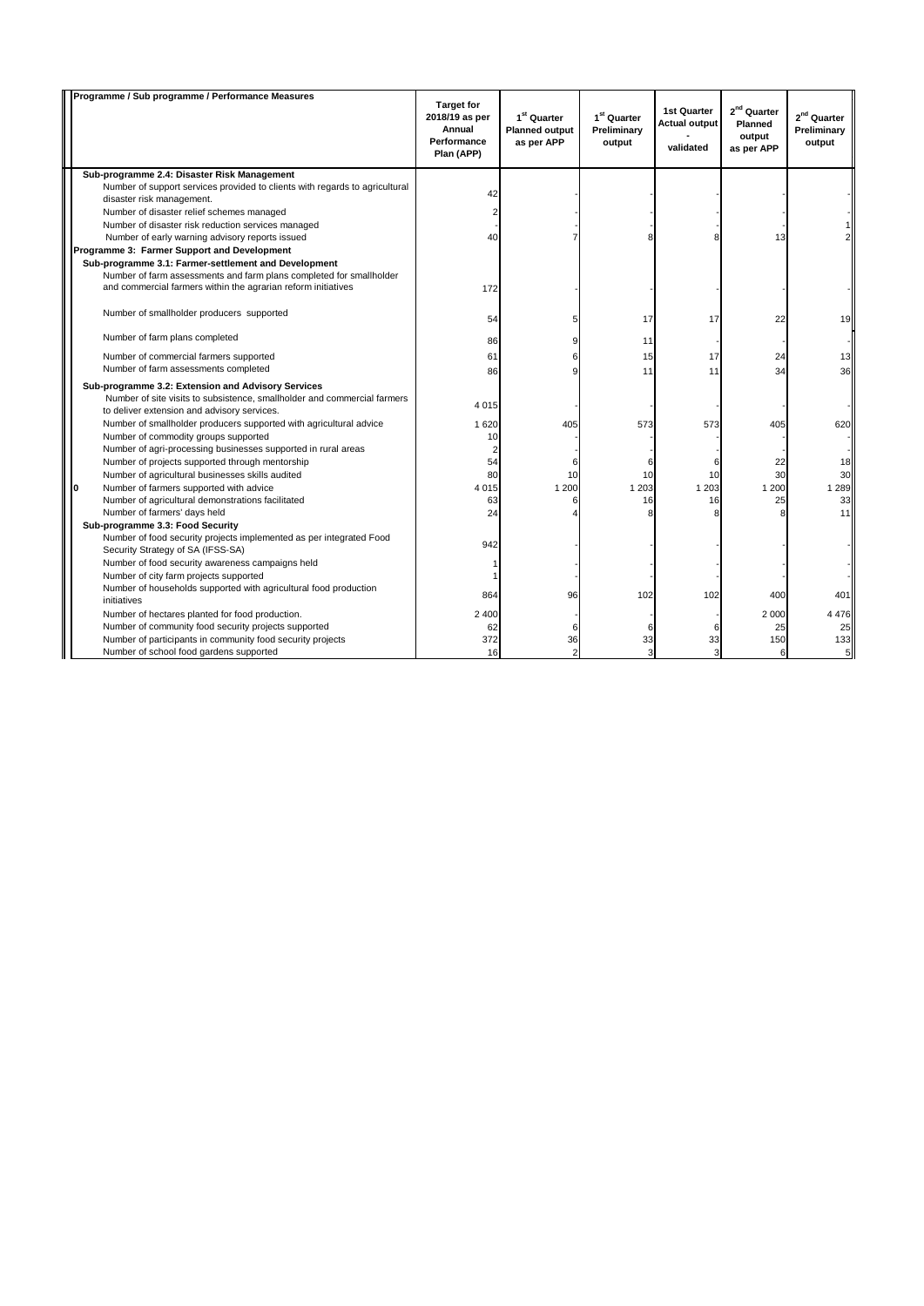|   | Programme / Sub programme / Performance Measures                                                         | <b>Target for</b><br>2018/19 as per<br>Annual<br>Performance<br>Plan (APP) | 1 <sup>st</sup> Quarter<br><b>Planned output</b><br>as per APP | 1 <sup>st</sup> Quarter<br>Preliminary<br>output | <b>1st Quarter</b><br><b>Actual output</b><br>validated | 2 <sup>nd</sup> Quarter<br>Planned<br>output<br>as per APP | 2 <sup>nd</sup> Quarter<br>Preliminary<br>output |
|---|----------------------------------------------------------------------------------------------------------|----------------------------------------------------------------------------|----------------------------------------------------------------|--------------------------------------------------|---------------------------------------------------------|------------------------------------------------------------|--------------------------------------------------|
|   | Sub-programme 2.4: Disaster Risk Management                                                              |                                                                            |                                                                |                                                  |                                                         |                                                            |                                                  |
|   | Number of support services provided to clients with regards to agricultural<br>disaster risk management. | 42                                                                         |                                                                |                                                  |                                                         |                                                            |                                                  |
|   | Number of disaster relief schemes managed                                                                |                                                                            |                                                                |                                                  |                                                         |                                                            |                                                  |
|   | Number of disaster risk reduction services managed                                                       |                                                                            |                                                                |                                                  |                                                         |                                                            |                                                  |
|   | Number of early warning advisory reports issued                                                          | 40                                                                         |                                                                | 8                                                |                                                         | 13                                                         |                                                  |
|   | Programme 3: Farmer Support and Development                                                              |                                                                            |                                                                |                                                  |                                                         |                                                            |                                                  |
|   | Sub-programme 3.1: Farmer-settlement and Development                                                     |                                                                            |                                                                |                                                  |                                                         |                                                            |                                                  |
|   | Number of farm assessments and farm plans completed for smallholder                                      |                                                                            |                                                                |                                                  |                                                         |                                                            |                                                  |
|   | and commercial farmers within the agrarian reform initiatives                                            | 172                                                                        |                                                                |                                                  |                                                         |                                                            |                                                  |
|   | Number of smallholder producers supported                                                                | 54                                                                         | 5                                                              | 17                                               | 17                                                      | 22                                                         | 19                                               |
|   | Number of farm plans completed                                                                           | 86                                                                         | 9                                                              | 11                                               |                                                         |                                                            |                                                  |
|   | Number of commercial farmers supported                                                                   | 61                                                                         | 6                                                              | 15                                               | 17                                                      | 24                                                         | 13                                               |
|   | Number of farm assessments completed                                                                     | 86                                                                         | 9                                                              | 11                                               | 11                                                      | 34                                                         | 36                                               |
|   | Sub-programme 3.2: Extension and Advisory Services                                                       |                                                                            |                                                                |                                                  |                                                         |                                                            |                                                  |
|   | Number of site visits to subsistence, smallholder and commercial farmers                                 |                                                                            |                                                                |                                                  |                                                         |                                                            |                                                  |
|   | to deliver extension and advisory services.                                                              | 4015                                                                       |                                                                |                                                  |                                                         |                                                            |                                                  |
|   | Number of smallholder producers supported with agricultural advice                                       | 1620                                                                       | 405                                                            | 573                                              | 573                                                     | 405                                                        | 620                                              |
|   | Number of commodity groups supported                                                                     | 10                                                                         |                                                                |                                                  |                                                         |                                                            |                                                  |
|   | Number of agri-processing businesses supported in rural areas                                            | $\overline{2}$                                                             |                                                                |                                                  |                                                         |                                                            |                                                  |
|   | Number of projects supported through mentorship                                                          | 54                                                                         | 6                                                              | 6                                                | 6                                                       | 22                                                         | 18                                               |
|   | Number of agricultural businesses skills audited                                                         | 80                                                                         | 10                                                             | 10                                               | 10                                                      | 30                                                         | 30                                               |
| O | Number of farmers supported with advice                                                                  | 4015                                                                       | 1 200                                                          | 1 2 0 3                                          | 1 2 0 3                                                 | 1 200                                                      | 1 2 8 9                                          |
|   | Number of agricultural demonstrations facilitated<br>Number of farmers' days held                        | 63<br>24                                                                   | 6<br>$\overline{A}$                                            | 16                                               | 16                                                      | 25                                                         | 33<br>11                                         |
|   | Sub-programme 3.3: Food Security                                                                         |                                                                            |                                                                |                                                  |                                                         |                                                            |                                                  |
|   | Number of food security projects implemented as per integrated Food<br>Security Strategy of SA (IFSS-SA) | 942                                                                        |                                                                |                                                  |                                                         |                                                            |                                                  |
|   | Number of food security awareness campaigns held                                                         |                                                                            |                                                                |                                                  |                                                         |                                                            |                                                  |
|   | Number of city farm projects supported                                                                   |                                                                            |                                                                |                                                  |                                                         |                                                            |                                                  |
|   | Number of households supported with agricultural food production                                         |                                                                            |                                                                |                                                  |                                                         |                                                            |                                                  |
|   | initiatives                                                                                              | 864                                                                        | 96                                                             | 102                                              | 102                                                     | 400                                                        | 401                                              |
|   | Number of hectares planted for food production.                                                          | 2 4 0 0                                                                    |                                                                |                                                  |                                                         | 2 000                                                      | 4476                                             |
|   | Number of community food security projects supported                                                     | 62                                                                         | 6                                                              | 6                                                | 6                                                       | 25                                                         | 25                                               |
|   | Number of participants in community food security projects                                               | 372                                                                        | 36                                                             | 33                                               | 33                                                      | 150                                                        | 133                                              |
|   | Number of school food gardens supported                                                                  | 16                                                                         | $\overline{2}$                                                 | 3                                                | 3                                                       | 6                                                          | $5\overline{5}$                                  |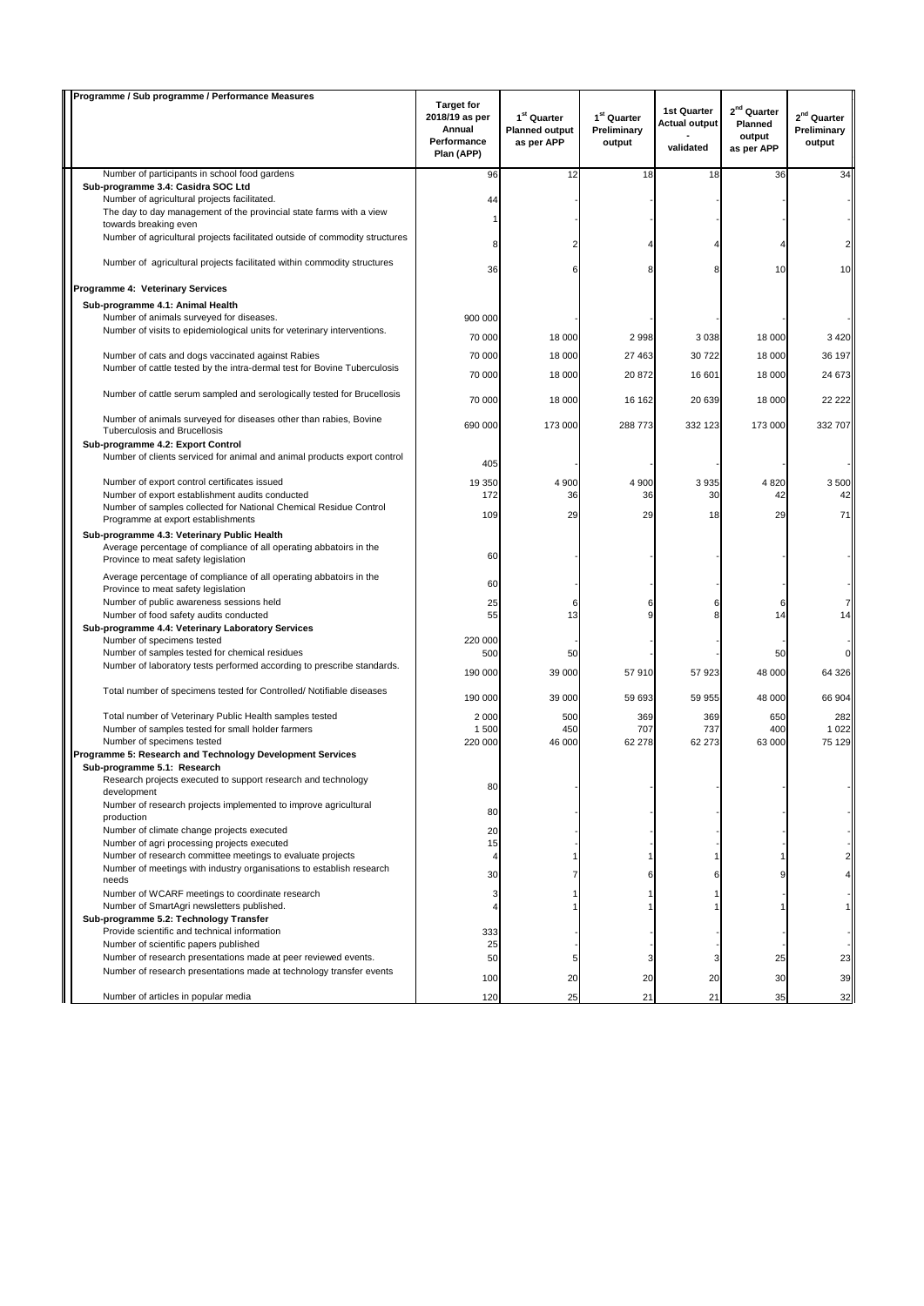| Programme / Sub programme / Performance Measures                                                                                              |                                                                            |                                                                |                                                  |                                                  |                                                                   |                                                  |
|-----------------------------------------------------------------------------------------------------------------------------------------------|----------------------------------------------------------------------------|----------------------------------------------------------------|--------------------------------------------------|--------------------------------------------------|-------------------------------------------------------------------|--------------------------------------------------|
|                                                                                                                                               | <b>Target for</b><br>2018/19 as per<br>Annual<br>Performance<br>Plan (APP) | 1 <sup>st</sup> Quarter<br><b>Planned output</b><br>as per APP | 1 <sup>st</sup> Quarter<br>Preliminary<br>output | 1st Quarter<br><b>Actual output</b><br>validated | 2 <sup>nd</sup> Quarter<br><b>Planned</b><br>output<br>as per APP | 2 <sup>nd</sup> Quarter<br>Preliminary<br>output |
| Number of participants in school food gardens                                                                                                 | 96                                                                         | 12                                                             | 18                                               | 18                                               | 36                                                                | 34                                               |
| Sub-programme 3.4: Casidra SOC Ltd                                                                                                            |                                                                            |                                                                |                                                  |                                                  |                                                                   |                                                  |
| Number of agricultural projects facilitated.<br>The day to day management of the provincial state farms with a view                           | 44                                                                         |                                                                |                                                  |                                                  |                                                                   |                                                  |
| towards breaking even                                                                                                                         | 1                                                                          |                                                                |                                                  |                                                  |                                                                   |                                                  |
| Number of agricultural projects facilitated outside of commodity structures                                                                   | 8                                                                          |                                                                | 4                                                |                                                  |                                                                   |                                                  |
| Number of agricultural projects facilitated within commodity structures                                                                       | 36                                                                         | 6                                                              | 8                                                |                                                  | 10                                                                | 10                                               |
| Programme 4: Veterinary Services                                                                                                              |                                                                            |                                                                |                                                  |                                                  |                                                                   |                                                  |
| Sub-programme 4.1: Animal Health                                                                                                              |                                                                            |                                                                |                                                  |                                                  |                                                                   |                                                  |
| Number of animals surveyed for diseases.                                                                                                      | 900 000                                                                    |                                                                |                                                  |                                                  |                                                                   |                                                  |
| Number of visits to epidemiological units for veterinary interventions.                                                                       | 70 000                                                                     | 18 000                                                         | 2 9 9 8                                          | 3038                                             | 18 000                                                            | 3 4 2 0                                          |
|                                                                                                                                               |                                                                            |                                                                |                                                  |                                                  |                                                                   |                                                  |
| Number of cats and dogs vaccinated against Rabies<br>Number of cattle tested by the intra-dermal test for Bovine Tuberculosis                 | 70 000                                                                     | 18 000                                                         | 27 4 63                                          | 30722                                            | 18 000                                                            | 36 197                                           |
|                                                                                                                                               | 70 000                                                                     | 18 000                                                         | 20 872                                           | 16 601                                           | 18 000                                                            | 24 673                                           |
| Number of cattle serum sampled and serologically tested for Brucellosis                                                                       | 70 000                                                                     | 18 000                                                         | 16 162                                           | 20 639                                           | 18 000                                                            | 22 222                                           |
| Number of animals surveyed for diseases other than rabies, Bovine<br><b>Tuberculosis and Brucellosis</b><br>Sub-programme 4.2: Export Control | 690 000                                                                    | 173 000                                                        | 288 773                                          | 332 123                                          | 173 000                                                           | 332 707                                          |
| Number of clients serviced for animal and animal products export control                                                                      | 405                                                                        |                                                                |                                                  |                                                  |                                                                   |                                                  |
| Number of export control certificates issued                                                                                                  | 19 350                                                                     | 4 900                                                          | 4 900                                            | 3935                                             | 4820                                                              | 3500                                             |
| Number of export establishment audits conducted                                                                                               | 172                                                                        | 36                                                             | 36                                               | 30                                               | 42                                                                | 42                                               |
| Number of samples collected for National Chemical Residue Control<br>Programme at export establishments                                       | 109                                                                        | 29                                                             | 29                                               | 18                                               | 29                                                                | 71                                               |
| Sub-programme 4.3: Veterinary Public Health                                                                                                   |                                                                            |                                                                |                                                  |                                                  |                                                                   |                                                  |
| Average percentage of compliance of all operating abbatoirs in the<br>Province to meat safety legislation                                     | 60                                                                         |                                                                |                                                  |                                                  |                                                                   |                                                  |
| Average percentage of compliance of all operating abbatoirs in the<br>Province to meat safety legislation                                     | 60                                                                         |                                                                |                                                  |                                                  |                                                                   |                                                  |
| Number of public awareness sessions held                                                                                                      | 25                                                                         | 6                                                              | 6                                                | 6                                                | 6                                                                 |                                                  |
| Number of food safety audits conducted                                                                                                        | 55                                                                         | 13                                                             | g                                                |                                                  | 14                                                                | 14                                               |
| Sub-programme 4.4: Veterinary Laboratory Services                                                                                             |                                                                            |                                                                |                                                  |                                                  |                                                                   |                                                  |
| Number of specimens tested<br>Number of samples tested for chemical residues                                                                  | 220 000<br>500                                                             | 50                                                             |                                                  |                                                  | 50                                                                |                                                  |
| Number of laboratory tests performed according to prescribe standards.                                                                        |                                                                            |                                                                |                                                  |                                                  |                                                                   |                                                  |
| Total number of specimens tested for Controlled/ Notifiable diseases                                                                          | 190 000                                                                    | 39 000                                                         | 57 910                                           | 57 923                                           | 48 000                                                            | 64 326                                           |
|                                                                                                                                               | 190 000                                                                    | 39 000                                                         | 59 693                                           | 59 955                                           | 48 000                                                            | 66 904                                           |
| Total number of Veterinary Public Health samples tested                                                                                       | 2 0 0 0                                                                    | 500                                                            | 369                                              | 369                                              | 650                                                               | 282                                              |
| Number of samples tested for small holder farmers<br>Number of specimens tested                                                               | 1500<br>220 000                                                            | 450<br>46 000                                                  | 707                                              | 737<br>62 273                                    | 400<br>63 000                                                     | 1 0 2 2<br>75 129                                |
| Programme 5: Research and Technology Development Services                                                                                     |                                                                            |                                                                | 62 278                                           |                                                  |                                                                   |                                                  |
| Sub-programme 5.1: Research                                                                                                                   |                                                                            |                                                                |                                                  |                                                  |                                                                   |                                                  |
| Research projects executed to support research and technology<br>development                                                                  | 80                                                                         |                                                                |                                                  |                                                  |                                                                   |                                                  |
| Number of research projects implemented to improve agricultural<br>production                                                                 | 80                                                                         |                                                                |                                                  |                                                  |                                                                   |                                                  |
| Number of climate change projects executed                                                                                                    | 20                                                                         |                                                                |                                                  |                                                  |                                                                   |                                                  |
| Number of agri processing projects executed                                                                                                   | 15                                                                         |                                                                |                                                  |                                                  |                                                                   |                                                  |
| Number of research committee meetings to evaluate projects                                                                                    | 4                                                                          |                                                                |                                                  |                                                  |                                                                   |                                                  |
| Number of meetings with industry organisations to establish research<br>needs                                                                 | 30                                                                         |                                                                | 6                                                |                                                  | 9                                                                 |                                                  |
| Number of WCARF meetings to coordinate research                                                                                               | 3                                                                          |                                                                |                                                  |                                                  |                                                                   |                                                  |
| Number of SmartAgri newsletters published.                                                                                                    | 4                                                                          |                                                                |                                                  |                                                  |                                                                   |                                                  |
| Sub-programme 5.2: Technology Transfer<br>Provide scientific and technical information                                                        | 333                                                                        |                                                                |                                                  |                                                  |                                                                   |                                                  |
| Number of scientific papers published                                                                                                         | 25                                                                         |                                                                |                                                  |                                                  |                                                                   |                                                  |
| Number of research presentations made at peer reviewed events.                                                                                | 50                                                                         | 5                                                              |                                                  |                                                  | 25                                                                | 23                                               |
| Number of research presentations made at technology transfer events                                                                           | 100                                                                        | 20                                                             | 20                                               | 20                                               | 30                                                                | 39                                               |
| Number of articles in popular media                                                                                                           | 120                                                                        | 25                                                             | 21                                               | 21                                               | 35                                                                | 32                                               |
|                                                                                                                                               |                                                                            |                                                                |                                                  |                                                  |                                                                   |                                                  |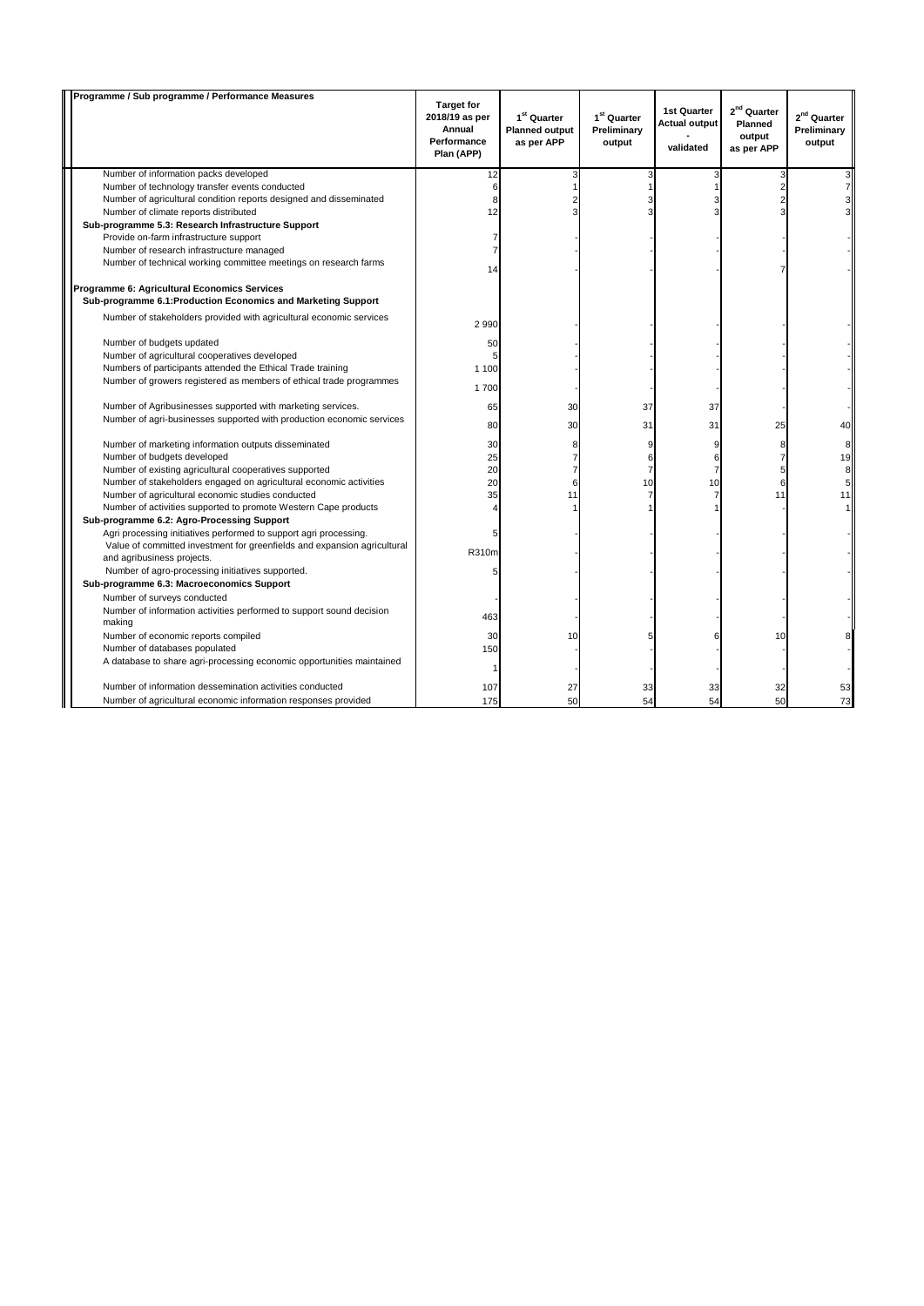| Programme / Sub programme / Performance Measures                                                              | <b>Target for</b>                                     |                                                                |                                                  | 1st Quarter                       | 2 <sup>nd</sup> Quarter         |                                                  |
|---------------------------------------------------------------------------------------------------------------|-------------------------------------------------------|----------------------------------------------------------------|--------------------------------------------------|-----------------------------------|---------------------------------|--------------------------------------------------|
|                                                                                                               | 2018/19 as per<br>Annual<br>Performance<br>Plan (APP) | 1 <sup>st</sup> Quarter<br><b>Planned output</b><br>as per APP | 1 <sup>st</sup> Quarter<br>Preliminary<br>output | <b>Actual output</b><br>validated | Planned<br>output<br>as per APP | 2 <sup>nd</sup> Quarter<br>Preliminary<br>output |
| Number of information packs developed                                                                         | 12                                                    | 3                                                              | 3                                                | 3                                 | Э                               |                                                  |
| Number of technology transfer events conducted                                                                | 6                                                     | 1                                                              |                                                  |                                   |                                 |                                                  |
| Number of agricultural condition reports designed and disseminated                                            | 8                                                     |                                                                |                                                  |                                   |                                 |                                                  |
| Number of climate reports distributed                                                                         | 12                                                    |                                                                |                                                  |                                   |                                 |                                                  |
| Sub-programme 5.3: Research Infrastructure Support                                                            |                                                       |                                                                |                                                  |                                   |                                 |                                                  |
| Provide on-farm infrastructure support                                                                        | 7                                                     |                                                                |                                                  |                                   |                                 |                                                  |
| Number of research infrastructure managed                                                                     | 7                                                     |                                                                |                                                  |                                   |                                 |                                                  |
| Number of technical working committee meetings on research farms                                              | 14                                                    |                                                                |                                                  |                                   |                                 |                                                  |
| Programme 6: Agricultural Economics Services<br>Sub-programme 6.1: Production Economics and Marketing Support |                                                       |                                                                |                                                  |                                   |                                 |                                                  |
| Number of stakeholders provided with agricultural economic services                                           | 2990                                                  |                                                                |                                                  |                                   |                                 |                                                  |
| Number of budgets updated                                                                                     | 50                                                    |                                                                |                                                  |                                   |                                 |                                                  |
| Number of agricultural cooperatives developed                                                                 |                                                       |                                                                |                                                  |                                   |                                 |                                                  |
| Numbers of participants attended the Ethical Trade training                                                   | 1 1 0 0                                               |                                                                |                                                  |                                   |                                 |                                                  |
| Number of growers registered as members of ethical trade programmes                                           | 1700                                                  |                                                                |                                                  |                                   |                                 |                                                  |
| Number of Agribusinesses supported with marketing services.                                                   | 65                                                    | 30                                                             | 37                                               | 37                                |                                 |                                                  |
| Number of agri-businesses supported with production economic services                                         | 80                                                    | 30                                                             | 31                                               | 31                                | 25                              | 40                                               |
| Number of marketing information outputs disseminated                                                          | 30                                                    | 8                                                              | 9                                                | 9                                 | 8                               | 8                                                |
| Number of budgets developed                                                                                   | 25                                                    | $\overline{7}$                                                 | 6                                                | 6                                 | 7                               | 19                                               |
| Number of existing agricultural cooperatives supported                                                        | 20                                                    | $\overline{7}$                                                 | $\overline{7}$                                   | $\overline{7}$                    | 5                               | 8                                                |
| Number of stakeholders engaged on agricultural economic activities                                            | 20                                                    | 6                                                              | 10                                               | 10                                | 6                               | 5 <sup>1</sup>                                   |
| Number of agricultural economic studies conducted                                                             | 35                                                    | 11                                                             | $\overline{7}$                                   | $\overline{7}$                    | 11                              | 11                                               |
| Number of activities supported to promote Western Cape products                                               |                                                       |                                                                |                                                  |                                   |                                 |                                                  |
| Sub-programme 6.2: Agro-Processing Support                                                                    |                                                       |                                                                |                                                  |                                   |                                 |                                                  |
| Agri processing initiatives performed to support agri processing.                                             | 5                                                     |                                                                |                                                  |                                   |                                 |                                                  |
| Value of committed investment for greenfields and expansion agricultural<br>and agribusiness projects.        | R310m                                                 |                                                                |                                                  |                                   |                                 |                                                  |
| Number of agro-processing initiatives supported.                                                              | 5                                                     |                                                                |                                                  |                                   |                                 |                                                  |
| Sub-programme 6.3: Macroeconomics Support                                                                     |                                                       |                                                                |                                                  |                                   |                                 |                                                  |
| Number of surveys conducted                                                                                   |                                                       |                                                                |                                                  |                                   |                                 |                                                  |
| Number of information activities performed to support sound decision                                          |                                                       |                                                                |                                                  |                                   |                                 |                                                  |
| making                                                                                                        | 463                                                   |                                                                |                                                  |                                   |                                 |                                                  |
| Number of economic reports compiled                                                                           | 30                                                    | 10                                                             | 5                                                | հ                                 | 10                              |                                                  |
| Number of databases populated                                                                                 | 150                                                   |                                                                |                                                  |                                   |                                 |                                                  |
| A database to share agri-processing economic opportunities maintained                                         |                                                       |                                                                |                                                  |                                   |                                 |                                                  |
|                                                                                                               | -1                                                    |                                                                |                                                  |                                   |                                 |                                                  |
| Number of information dessemination activities conducted                                                      | 107                                                   | 27                                                             | 33                                               | 33                                | 32                              | 53                                               |
| Number of agricultural economic information responses provided                                                | 175                                                   | 50                                                             | 54                                               | 54                                | 50                              | 73                                               |